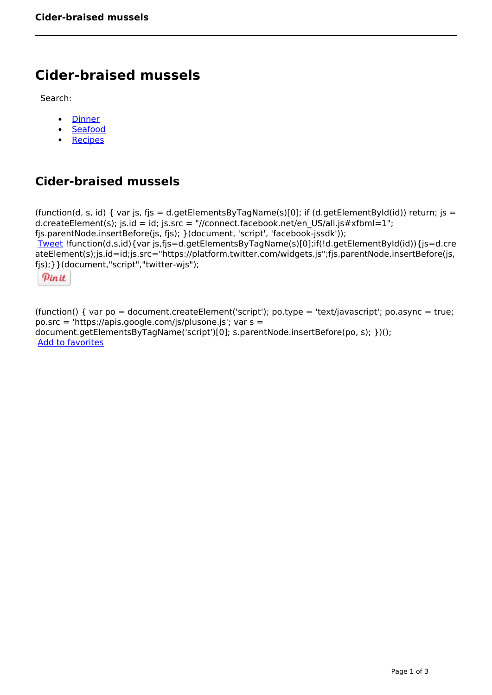# **Cider-braised mussels**

Search:

- **[Dinner](https://www.naturalhealthmag.com.au/nourish/dinner-ideas)**  $\bullet$
- [Seafood](https://www.naturalhealthmag.com.au/nourish/seafood)  $\bullet$
- **[Recipes](https://www.naturalhealthmag.com.au/nourish/recipes)**  $\bullet$

## **Cider-braised mussels**

```
(function(d, s, id) { var js, fjs = d.getElementsByTagName(s)[0]; if (d.getElementById(id)) return; js =
d.createElement(s); js.id = id; js.src = "//connect.facebook.net/en_US/all.js#xfbml=1";
fjs.parentNode.insertBefore(js, fjs); }(document, 'script', 'facebook-jssdk')); 
Tweet !function(d,s,id){var js,fjs=d.getElementsByTagName(s)[0];if(!d.getElementById(id)){js=d.cre
ateElement(s);js.id=id;js.src="https://platform.twitter.com/widgets.js";fjs.parentNode.insertBefore(js,
fjs);}}(document,"script","twitter-wjs"); 
 Pin it
```
(function() { var po = document.createElement('script'); po.type = 'text/javascript'; po.async = true; po.src = 'https://apis.google.com/js/plusone.js'; var s = document.getElementsByTagName('script')[0]; s.parentNode.insertBefore(po, s); })(); Add to favorites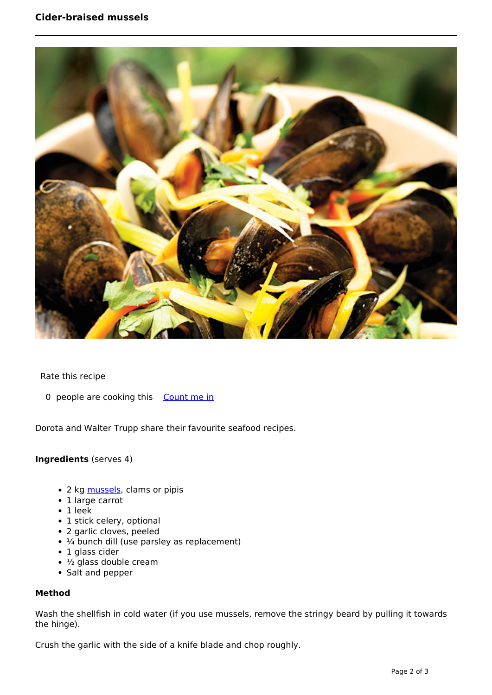

Rate this recipe

0 people are cooking this [Count me in](https://www.naturalhealthmag.com.au/flag/flag/favorites/1118?destination=printpdf%2F1118&token=0df478e71396bcc9b0296811d434dbee)

Dorota and Walter Trupp share their favourite seafood recipes.

#### **Ingredients** (serves 4)

- 2 kg [mussels](http://www.naturalhealthmag.com.au/nourish/pappardelle-mussels-garlic-and-chilli), clams or pipis
- 1 large carrot
- $\cdot$  1 leek
- 1 stick celery, optional
- 2 garlic cloves, peeled
- $\cdot$   $\frac{1}{4}$  bunch dill (use parsley as replacement)
- 1 glass cider
- $\cdot$  ½ glass double cream
- Salt and pepper

#### **Method**

Wash the shellfish in cold water (if you use mussels, remove the stringy beard by pulling it towards the hinge).

Crush the garlic with the side of a knife blade and chop roughly.